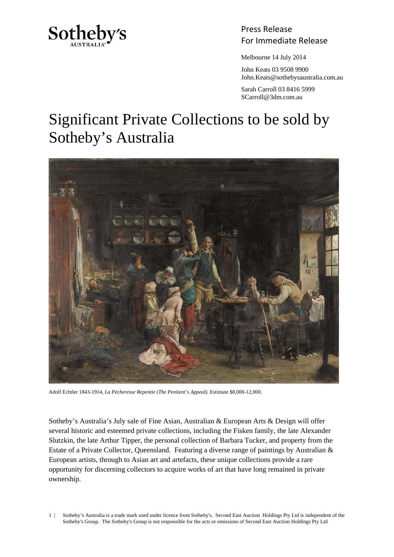

## Press Release Sotheby's<br>For Immediate Release

Melbourne 14 July 2014

 John Keats 03 9508 9900 John.Keats@sothebysaustralia.com.au

 Sarah Carroll 03 8416 5999 SCarroll@3dm.com.au

## Significant Private Collections to be sold by Sotheby's Australia



Adolf Echtler 1843-1914, *La Pécheresse Repentie (The Penitent's Appeal).* Estimate \$8,000-12,000.

Sotheby's Australia's July sale of Fine Asian, Australian & European Arts & Design will offer several historic and esteemed private collections, including the Fisken family, the late Alexander Slutzkin, the late Arthur Tipper, the personal collection of Barbara Tucker, and property from the Estate of a Private Collector, Queensland. Featuring a diverse range of paintings by Australian & European artists, through to Asian art and artefacts, these unique collections provide a rare opportunity for discerning collectors to acquire works of art that have long remained in private ownership.

1 | Sotheby's Australia is a trade mark used under licence from Sotheby's. Second East Auction Holdings Pty Ltd is independent of the Sotheby's Group. The Sotheby's Group is not responsible for the acts or omissions of Second East Auction Holdings Pty Ltd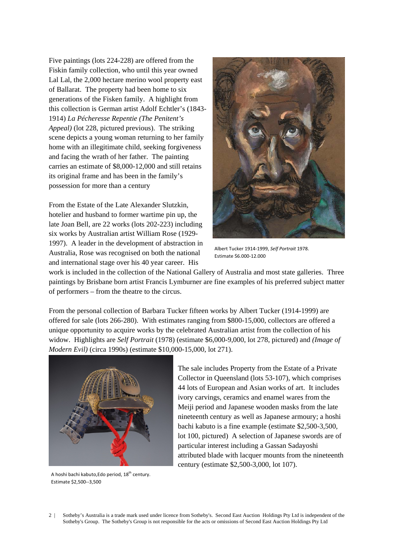Five paintings (lots 224-228) are offered from the Fiskin family collection, who until this year owned Lal Lal, the 2,000 hectare merino wool property east of Ballarat. The property had been home to six generations of the Fisken family. A highlight from this collection is German artist Adolf Echtler's (1843- 1914) *La Pécheresse Repentie (The Penitent's Appeal)* (lot 228, pictured previous). The striking scene depicts a young woman returning to her family home with an illegitimate child, seeking forgiveness and facing the wrath of her father. The painting carries an estimate of \$8,000-12,000 and still retains its original frame and has been in the family's possession for more than a century

From the Estate of the Late Alexander Slutzkin, hotelier and husband to former wartime pin up, the late Joan Bell, are 22 works (lots 202-223) including six works by Australian artist William Rose (1929- 1997). A leader in the development of abstraction in Australia, Rose was recognised on both the national and international stage over his 40 year career. His



Albert Tucker 1914‐1999, *Self Portrait* 1978. Estimate \$6,000‐12,000

work is included in the collection of the National Gallery of Australia and most state galleries. Three paintings by Brisbane born artist Francis Lymburner are fine examples of his preferred subject matter of performers – from the theatre to the circus.

From the personal collection of Barbara Tucker fifteen works by Albert Tucker (1914-1999) are offered for sale (lots 266-280). With estimates ranging from \$800-15,000, collectors are offered a unique opportunity to acquire works by the celebrated Australian artist from the collection of his widow. Highlights are *Self Portrait* (1978) (estimate \$6,000-9,000, lot 278, pictured) and *(Image of Modern Evil)* (circa 1990s) (estimate \$10,000-15,000, lot 271).



The sale includes Property from the Estate of a Private Collector in Queensland (lots 53-107), which comprises 44 lots of European and Asian works of art. It includes ivory carvings, ceramics and enamel wares from the Meiji period and Japanese wooden masks from the late nineteenth century as well as Japanese armoury; a hoshi bachi kabuto is a fine example (estimate \$2,500-3,500, lot 100, pictured) A selection of Japanese swords are of particular interest including a Gassan Sadayoshi attributed blade with lacquer mounts from the nineteenth century (estimate \$2,500-3,000, lot 107).

A hoshi bachi kabuto, Edo period, 18<sup>th</sup> century. Estimate \$2,500‐‐3,500

2 | Sotheby's Australia is a trade mark used under licence from Sotheby's. Second East Auction Holdings Pty Ltd is independent of the Sotheby's Group. The Sotheby's Group is not responsible for the acts or omissions of Second East Auction Holdings Pty Ltd